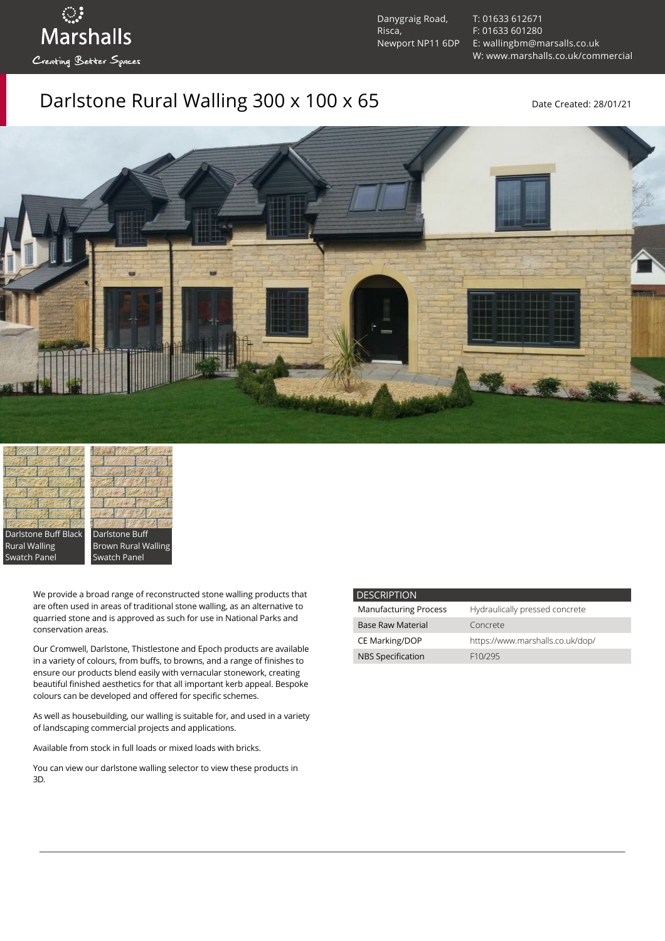Danygraig Road, Risca, Newport NP11 6DP [T: 01633 612671](tel:01633%20612671) [F: 01633 601280](tel:01633%20601280) [E: wallingbm@marsalls.co.uk](mailto:wallingbm@marsalls.co.uk) [W: www.marshalls.co.uk/commercial](https://www.marshalls.co.uk/commercial)

## Darlstone Rural Walling  $300 \times 100 \times 65$  Date Created: 28/01/21





ः<br>Marshalls

Creating Better Spaces

Darlstone Buff Brown Rural Walling Swatch Panel

We provide a broad range of reconstructed stone walling products that are often used in areas of traditional stone walling, as an alternative to quarried stone and is approved as such for use in National Parks and conservation areas.

Our [Cromwell](https://www.marshalls.co.uk/commercial/product/cromwell-stone-walling), Darlstone, [Thistlestone](https://www.marshalls.co.uk/commercial/product/thistlestone-stone-walling) and Epoch products are available in a variety of colours, from buffs, to browns, and a range of finishes to ensure our products blend easily with vernacular stonework, creating beautiful finished aesthetics for that all important kerb appeal. Bespoke colours can be developed and offered for specific schemes.

As well as housebuilding, our walling is suitable for, and used in a variety of landscaping commercial projects and applications.

Available from stock in full loads or mixed loads with bricks.

You can view our [darlstone walling selector](https://www.paverpicker.com/paverpicker/?u=edenhall&cat=walling&subcat=darlstone_walling) to view these products in 3D.

| <b>DESCRIPTION</b>           |                                  |
|------------------------------|----------------------------------|
| <b>Manufacturing Process</b> | Hydraulically pressed concrete   |
| <b>Base Raw Material</b>     | Concrete                         |
| <b>CE Marking/DOP</b>        | https://www.marshalls.co.uk/dop/ |
| <b>NBS Specification</b>     | F <sub>10</sub> /295             |
|                              |                                  |